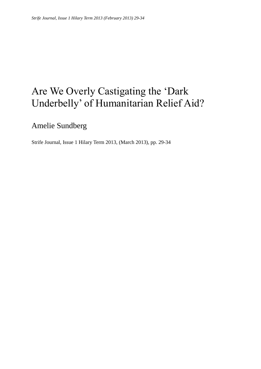## Are We Overly Castigating the 'Dark Underbelly' of Humanitarian Relief Aid?

Amelie Sundberg

Strife Journal, Issue 1 Hilary Term 2013, (March 2013), pp. 29-34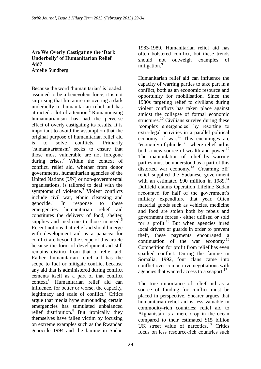## **Are We Overly Castigating the 'Dark Underbelly' of Humanitarian Relief Aid?** Amelie Sundberg

Because the word 'humanitarian' is loaded, assumed to be a benevolent force, it is not surprising that literature uncovering a dark underbelly to humanitarian relief aid has attracted a lot of attention.<sup>1</sup> Romanticising humanitarianism has had the perverse effect of overly castigating its results. It is important to avoid the assumption that the original purpose of humanitarian relief aid is to solve conflicts. Primarily 'humanitarianism' seeks to ensure that those most vulnerable are not foregone during crises.<sup>2</sup> Within the context of conflict, relief aid, whether from donor governments, humanitarian agencies of the United Nations (UN) or non-governmental organisations, is tailored to deal with the symptoms of violence. $3$  Violent conflicts include civil war, ethnic cleansing and genocide.<sup>4</sup> In response to these emergencies humanitarian relief aid constitutes the delivery of food, shelter, supplies and medicine to those in need.<sup>5</sup> Recent notions that relief aid should merge with development aid as a panacea for conflict are beyond the scope of this article because the form of development aid still remains distinct from that of relief aid. Rather, humanitarian relief aid has the scope to fuel or mitigate conflict because any aid that is administered during conflict cements itself as a part of that conflict context.<sup>6</sup> Humanitarian relief aid can influence, for better or worse, the capacity, legitimacy and scale of conflict.<sup>7</sup> Critics argue that media hype surrounding certain emergencies has stimulated unbalanced relief distribution.<sup>8</sup> But ironically they themselves have fallen victim by focusing on extreme examples such as the Rwandan genocide 1994 and the famine in Sudan

1983-1989. Humanitarian relief aid has often bolstered conflict, but these trends should not outweigh examples of mitigation.<sup>9</sup>

Humanitarian relief aid can influence the capacity of warring parties to take part in a conflict, both as an economic resource and opportunity for mobilisation. Since the 1980s targeting relief to civilians during violent conflicts has taken place against amidst the collapse of formal economic structures.<sup>10</sup> Civilians survive during these 'complex emergencies' by resorting to extra-legal activities in a parallel political economy of war. $^{11}$  This encourages an, 'economy of plunder' - where relief aid is both a new source of wealth and power. $^{12}$ The manipulation of relief by warring parties must be understood as a part of this distorted war economy.<sup>13</sup> 'Creaming off' relief supplied the Sudanese government with an estimated £90 million in  $1989$ <sup>14</sup> Duffield claims Operation Lifeline Sudan accounted for half of the government's military expenditure that year. Often material goods such as vehicles, medicine and food are stolen both by rebels and government forces - either utilised or sold for a profit.<sup>15</sup> But when agencies hired local drivers or guards in order to prevent theft, these payments encouraged a continuation of the war economy.<sup>16</sup> Competition for profit from relief has even sparked conflict. During the famine in Somalia, 1992, four clans came into conflict over competitive negotiations with agencies that wanted access to a seaport.<sup>17</sup>

The true importance of relief aid as a source of funding for conflict must be placed in perspective. Shearer argues that humanitarian relief aid is less valuable in commodity-rich countries; relief aid to Afghanistan is a mere drop in the ocean compared to their estimated \$15 billion UK street value of narcotics.<sup>18</sup> Critics focus on less resource-rich countries such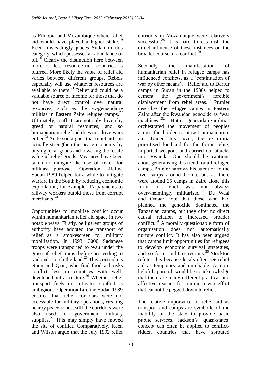as Ethiopia and Mozambique where relief aid would have played a higher stake.<sup>19</sup> Keen misleadingly places Sudan in this category, which possesses an abundance of oil.<sup>20</sup> Clearly the distinction here between more or less resource-rich countries is blurred. More likely the value of relief aid varies between different groups. Rebels especially will use whatever resources are available to them. $^{21}$  Relief aid could be a valuable source of income for those that do not have direct control over natural resources, such as the ex-genocidaire militias in Eastern Zaire refugee camps.<sup>22</sup> Ultimately, conflicts are not only driven by greed or natural resources, and so humanitarian relief aid does not drive wars either.<sup>23</sup> Anderson argues that relief aid can actually strengthen the peace economy by buying local goods and lowering the resale value of relief goods. Measures have been taken to mitigate the use of relief for military purposes. Operation Lifeline Sudan 1989 helped for a while to mitigate warfare in the South by reducing economic exploitation, for example UN payments to railway workers outbid those from corrupt merchants.<sup>24</sup>

Opportunities to mobilise conflict occur within humanitarian relief aid space in two notable ways. Firstly, belligerent groups of authority have adopted the transport of relief as a smokescreen for military mobilisation. In 1993, 3000 Sudanese troops were transported to Wau under the guise of relief trains, before proceeding to raid and scorch the land. $^{25}$  This contradicts Nunn and Qian, who find food aid risks conflict less in countries with welldeveloped infrastructure.<sup>26</sup> Whether relief transport fuels or mitigates conflict is ambiguous. Operation Lifeline Sudan 1989 ensured that relief corridors were not accessible for military operations, creating nearby peace zones, still the corridors were also used for government military supplies. $27$  This may simply have moved the site of conflict. Comparatively, Keen and Wilson argue that the July 1992 relief corridors in Mozambique were relatively successful.<sup>28</sup> It is hard to establish the direct influence of these instances on the broader course of a conflict.<sup>29</sup>

Secondly, the manifestation of humanitarian relief in refugee camps has influenced conflicts, as a 'continuation of war by other means'.  $30 \text{}$  Relief aid to Darfur camps in Sudan in the 1980s helped to cement the government's forcible displacement from rebel areas. $31$  Prunier describes the refugee camps in Eastern Zaire after the Rwandan genocide as 'war machines.'<sup>32</sup> Hutu genocidaire-militias orchestrated the movement of peoples across the border to attract humanitarian aid. Under this cover, the ex-militia prioritised food aid for the former elite, imported weapons and carried out attacks into Rwanda. One should be cautious about generalising this trend for all refugee camps. Prunier narrows his attention to the five camps around Goma, but as there were around 35 camps in Zaire alone this form of relief was not always overwhelmingly militarised. $33$  De Waal and Omaar note that those who had planned the genocide dominated the Tanzanian camps, but they offer no direct causal relation to increased broader conflict.<sup>34</sup> A morally questionable form of organisation does not automatically nurture conflict. It has also been argued that camps limit opportunities for refugees to develop economic survival strategies, and so foster militant recruits.<sup>35</sup> Stockton refutes this because locals often see relief aid as temporary and unreliable. A more helpful approach would be to acknowledge that there are many different practical and affective reasons for joining a war effort that cannot be pegged down to relief.

The relative importance of relief aid as transport and camps are symbolic of the inability of the state to provide basic public services. Jackson's 'quasi-states' concept can often be applied to conflictridden countries that have sprouted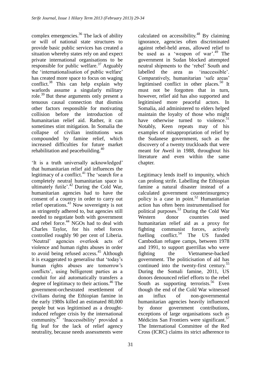complex emergencies. $36$  The lack of ability or will of national state structures to provide basic public services has created a situation whereby states rely on and expect private international organisations to be responsible for public welfare.<sup>37</sup> Arguably the 'internationalisation of public welfare' has created more space to focus on waging conflict. $38$  This can help explain why warlords assume a singularly military role.<sup>39</sup> But these arguments only present a tenuous causal connection that dismiss other factors responsible for motivating collision before the introduction of humanitarian relief aid. Rather, it can sometimes stint mitigation. In Somalia the collapse of civilian institutions was compounded by famine relief, which increased difficulties for future market rehabilitation and peacebuilding.<sup>40</sup>

'It is a truth universally acknowledged' that humanitarian relief aid influences the legitimacy of a conflict. $41$  The 'search for a completely neutral humanitarian space is ultimately futile'.<sup>42</sup> During the Cold War, humanitarian agencies had to have the consent of a country in order to carry out relief operations.<sup>43</sup> Now sovereignty is not as stringently adhered to, but agencies still needed to negotiate both with government and rebel force. <sup>44</sup> NGOs had to deal with Charles Taylor, for his rebel forces controlled roughly 90 per cent of Liberia. 'Neutral' agencies overlook acts of violence and human rights abuses in order to avoid being refused access.<sup>45</sup> Although it is exaggerated to generalise that 'today's human rights abuses are tomorrow's conflicts', using belligerent parties as a conduit for aid automatically transfers a degree of legitimacy to their actions.<sup>46</sup> The government-orchestrated resettlement of civilians during the Ethiopian famine in the early 1980s killed an estimated 80,000 people but was legitimised as a droughtinduced refugee crisis by the international community. $47$  'Inaccessibility' provided a fig leaf for the lack of relief agency neutrality, because needs assessments were

calculated on accessibility. $48$  By claiming ignorance, agencies often discriminated against rebel-held areas, allowed relief to be used as a 'weapon of war'.<sup>49</sup> The government in Sudan blocked attempted neutral shipments to the 'rebel' South and labelled the area as 'inaccessible'. Comparatively, humanitarian 'safe areas' legitimised conflict in other places. $50$  It must not be forgotten that in turn, however, relief aid has also supported and legitimised more peaceful actors. In Somalia, aid administered to elders helped maintain the loyalty of those who might have otherwise turned to violence.<sup>51</sup> Notably, Keen repeats may of his examples of misappropriation of relief by the Sudanese government, such as the discovery of a twenty truckloads that were meant for Aweil in 1988, throughout his literature and even within the same chapter.

Legitimacy lends itself to impunity, which can prolong strife. Labelling the Ethiopian famine a natural disaster instead of a calculated government counterinsurgency policy is a case in point.<sup>52</sup> Humanitarian action has often been instrumentalised for political purposes.<sup>53</sup> During the Cold War Western donor countries used humanitarian relief aid as a proxy for fighting communist forces, actively fuelling conflict.<sup>54</sup> The US funded Cambodian refugee camps, between 1978 and 1991, to support guerrillas who were fighting the Vietnamese-backed government. The politicisation of aid has continued into the twenty-first century.<sup>55</sup> During the Somali famine, 2011, US donors denounced relief efforts to the rebel South as supporting terrorists.<sup>56</sup> Even though the end of the Cold War witnessed an influx of non-governmental humanitarian agencies heavily influenced by donor government contributions, exceptions of large organisations such as Médicins San Frontiers were significant.<sup>57</sup> The International Committee of the Red Cross (ICRC) claims its strict adherence to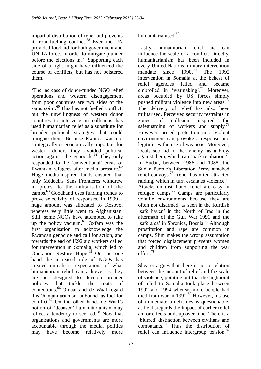impartial distribution of relief aid prevents it from fuelling conflict.<sup>58</sup> Even the UN provided food aid for both government and UNITA forces in order to mitigate plunder before the elections in.<sup>59</sup> Supporting each side of a fight might have influenced the course of conflicts, but has not bolstered them.

'The increase of donor-funded NGO relief operations and western disengagement from poor countries are two sides of the same coin'.<sup>60</sup> This has not fuelled conflict, but the unwillingness of western donor countries to intervene in collisions has used humanitarian relief as a substitute for broader political strategies that could mitigate them. Because Rwanda was not strategically or economically important for western donors they avoided political action against the genocide. $61$  They only responded to the 'conventional' crisis of Rwandan refugees after media pressure.<sup>62</sup> Huge media-inspired funds ensured that only Médecins Sans Frontières withdrew in protest to the militarisation of the camps. <sup>63</sup> Goodhand uses funding trends to prove selectivity of responses. In 1999 a huge amount was allocated to Kosovo, whereas very little went to Afghanistan. Still, some NGOs have attempted to take up the policy vacuum. $64$  Oxfam was the first organisation to acknowledge the Rwandan genocide and call for action, and towards the end of 1992 aid workers called for intervention in Somalia, which led to Operation Restore Hope. $65$  On the one hand the increased role of NGOs has created unrealistic expectations of what humanitarian relief can achieve, as they are not designed to develop broader policies that tackle the roots of contentions.<sup>66</sup> Omaar and de Waal regard this 'humanitarianism unbound' as fuel for conflict.<sup>67</sup> On the other hand, de Waal's notion of 'debased' humanitarianism may reflect a tendency to see red.<sup>68</sup> Now that organisations and governments are more accountable through the media, politics may have become relatively more

## humanitarianised.<sup>69</sup>

Lastly, humanitarian relief aid can influence the scale of a conflict. Directly, humanitarianism has been included in every United Nations military intervention mandate since  $1990^{70}$  The 1992 intervention in Somalia at the behest of relief agencies failed and became embroiled in 'warmaking'.<sup>71</sup> Moreover, areas occupied by US forces simply pushed militant violence into new areas.<sup> $72$ </sup> The delivery of relief has also been militarised. Perceived security restraints in zones of collision inspired the safeguarding of workers and supply.<sup>73</sup> However, armed protection in a violent environment can provoke a response and legitimises the use of weapons. Moreover, locals see aid to the 'enemy' as a blow against them, which can spark retaliation.<sup>74</sup> In Sudan, between 1986 and 1988, the Sudan People's Liberation Army attacked relief convoys.<sup>75</sup> Relief has often attracted raiding, which in turn escalates violence.<sup>76</sup> Attacks on distributed relief are easy in refugee camps. <sup>77</sup> Camps are particularly volatile environments because they are often not disarmed, as seen in the Kurdish 'safe haven' in the North of Iraq in the aftermath of the Gulf War 1991 and the 'safe area' in Sbrenica, Bosnia.<sup>78</sup> Although prostitution and rape are common in camps, Slim makes the wrong assumption that forced displacement prevents women and children from supporting the war effort<sup>79</sup>

Shearer argues that there is no correlation between the amount of relief and the scale of violence, pointing out that the highpoint of relief to Somalia took place between 1992 and 1994 whereas more people had died from war in  $1991$ .<sup>80</sup> However, his use of immediate timeframes is questionable, as he disregards the impact of earlier relief aid or effects built up over time. There is a 'blurred' distinction between civilians and combatants.<sup>81</sup> Thus the distribution of relief can influence intergroup tension.<sup>82</sup>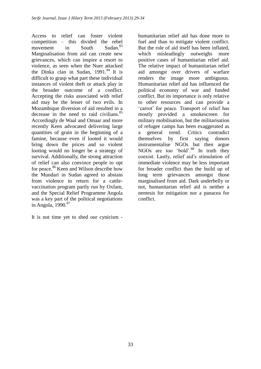Access to relief can foster violent competition – this divided the rebel movement in South Sudan.<sup>83</sup> Marginalisation from aid can create new grievances, which can inspire a resort to violence, as seen when the Nuer attacked the Dinka clan in Sudan,  $1991.^{84}$  It is difficult to grasp what part these individual instances of violent theft or attack play in the broader outcome of a conflict. Accepting the risks associated with relief aid may be the lesser of two evils. In Mozambique diversion of aid resulted in a decrease in the need to raid civilians. $85$ Accordingly de Waal and Omaar and more recently Keen advocated delivering large quantities of grain in the beginning of a famine, because even if looted it would bring down the prices and so violent looting would no longer be a strategy of survival. Additionally, the strong attraction of relief can also convince people to opt for peace. <sup>86</sup> Keen and Wilson describe how the Mundari in Sudan agreed to abstain from violence in return for a cattlevaccination program partly run by Oxfam, and the Special Relief Programme Angola was a key part of the political negotiations in Angola,  $1990.<sup>87</sup>$ 

It is not time yet to shed our cynicism -

humanitarian relief aid has done more to fuel and than to mitigate violent conflict. But the role of aid itself has been inflated, which misleadingly outweighs more positive cases of humanitarian relief aid. The relative impact of humanitarian relief aid amongst over drivers of warfare renders the image more ambiguous. Humanitarian relief aid has influenced the political economy of war and funded conflict. But its importance is only relative to other resources and can provide a 'carrot' for peace. Transport of relief has mostly provided a smokescreen for military mobilisation, but the militarisation of refugee camps has been exaggerated as a general trend. Critics contradict themselves by first saying donors instrumentalise NGOs but then argue NGOs are too 'bold'.<sup>88</sup> In truth they coexist. Lastly, relief aid's stimulation of immediate violence may be less important for broader conflict than the build up of long term grievances amongst those marginalised from aid. Dark underbelly or not, humanitarian relief aid is neither a nemesis for mitigation nor a panacea for conflict.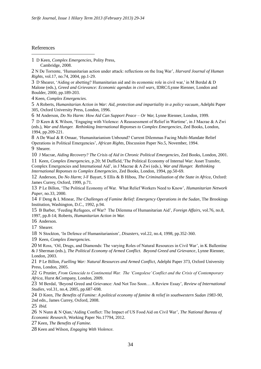## References

1

1 D Keen, *Complex Emergencies*, Polity Press, Cambridge, 2008.

2 N De Torrente, 'Humanitarian action under attack: reflections on the Iraq War', *Harvard Journal of Human Rights*, vol.17, no.74, 2004, pp.1-29.

3 D Shearer, 'Aiding or abetting? Humanitarian aid and its economic role in civil war,' in M Berdal & D Malone (eds.), *Greed and Grievance: Economic agendas in civil wars*, IDRC/Lynne Rienner, London and Boulder, 2000, pp.189-203.

4 Keen, *Complex Emergencies.*

5 A Roberts, *Humanitarian Action in War: Aid, protection and impartiality in a policy vacuum*, Adelphi Paper 305, Oxford University Press, London, 1996.

6 M Anderson, *Do No Harm: How Aid Can Support Peace – Or War,* Lynne Rienner, London, 1999.

7 D Keen & K Wilson, 'Engaging with Violence: A Reassessment of Relief in Wartime', in J Macrae & A Zwi (eds.), *War and Hunger. Rethinking International Reponses to Complex Emergencies*, Zed Books, London, 1994, pp.209-221.

8 A De Waal & R Omaar, 'Humanitarianism Unbound? Current Dilemmas Facing Multi-Mandate Relief Operations in Political Emergencies', *African Rights*, Discussion Paper No.5, November, 1994. 9 Shearer.

10 J Macrae, *Aiding Recovery? The Crisis of Aid in Chronic Political Emergencies*, Zed Books, London, 2001.

11 Keen, *Complex Emergencies,* p.20; M Duffield,'The Political Economy of Internal War: Asset Transfer, Complex Emergencies and International Aid', in J Macrae & A Zwi (eds.), *War and Hunger. Rethinking International Reponses to Complex Emergencies*, Zed Books, London, 1994, pp.50-69.

12 Anderson, *Do No Harm*; J-F Bayart, S Ellis & B Hibou, *The Criminalization of the State in Africa*, Oxford: James Currey, Oxford, 1999, p.71.

13 P Le Billon, 'The Political Economy of War. What Relief Workers Need to Know', *Humanitarian Network Paper*, no.33, 2000.

14 F Deng & L Minear, *The Challenges of Famine Relief: Emergency Operations in the Sudan*, The Brookings Institution, Washington, D.C., 1992, p.94.

15 B Barber, 'Feeding Refugees, of War? The Dilemma of Humanitarian Aid', *Foreign Affairs*, vol.76, no.8, 1997, pp.8-14; Roberts, *Humanitarian Action in War.*

16 Anderson.

17 Shearer.

18 N Stockton, 'In Defence of Humanitarianism', *Disasters*, vol.22, no.4, 1998, pp.352-360.

19 Keen, *Complex Emergencies.*

20 M Ross, 'Oil, Drugs, and Diamonds: The varying Roles of Natural Resources in Civil War', in K Ballentine & J Sherman (eds.), *The Political Economy of Armed Conflict. Beyond Greed and Grievance*, Lynne Rienner, London, 2003.

21 P Le Billon, *Fuelling War: Natural Resources and Armed Conflict*, Adelphi Paper 373, Oxford University Press, London, 2005.

22 G Prunier, *From Genocide to Continental War. The 'Congolese' Conflict and the Crisis of Contemporary Africa*, Hurst &Company, London, 2009.

23 M Berdal, 'Beyond Greed and Grievance: And Not Too Soon… A Review Essay', *Review of International Studies*, vol.31, no.4, 2005, pp.687-698.

24 D Keen, *The Benefits of Famine: A political economy of famine & relief in southwestern Sudan 1983-90*, 2nd edn., James Currey, Oxford, 2008.

25 *Ibid.*

26 N Nunn & N Qian,'Aiding Conflict: The Impact of US Food Aid on Civil War', *The National Bureau of Economic Research*, Working Paper No.17794, 2012.

27 Keen, *The Benefits of Famine.*

28 Keen and Wilson, *Engaging With Violence.*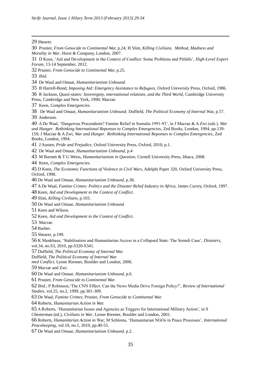Shearer.

<u>.</u>

 D Keen, 'Aid and Development in the Context of Conflict: Some Problems and Pitfalls', *High-Level Expert Forum*, 13-14 September, 2012.

Prunier, *From Genocide to Continental War,* p.25.

*Ibid.*

De Waal and Omaar, *Humanitarianism Unbound.*

B Harrell-Bond, *Imposing Aid: Emergency Assistance to Refugees*, Oxford University Press, Oxford, 1986.

 R Jackson, *Quasi-states: Sovereignty, international relations, and the Third World*, Cambridge University Press, Cambridge and New York, 1990; Macrae.

Keen, *Complex Emergencies.*

 De Waal and Omaar, *Humanitarianism Unbound;* Duffield, *The Political Economy of Internal* War, p.57. Anderson.

 A De Waal, 'Dangerous Precendents? Famine Relief in Somalia 1991-93', in J Macrae & A Zwi (eds.), *War and Hunger. Rethinking International Reponses to Complex Emergencies*, Zed Books, London, 1994, pp.139- 159; J Macrae & A Zwi, *War and Hunger. Rethinking International Reponses to Complex Emergencies*, Zed Books, London, 1994.

J Austen, *Pride and Prejudice,* Oxford University Press, Oxford, 2010, p.1.

De Waal and Omaar, *Humanitarianism Unbound,* p.4

M Barnett & T G Weiss, *Humanitarianism in Question*, Cornell University Press, Ithaca, 2008.

Keen, *Complex Emergencies.*

 D Keen, *The Economic Functions of Violence in Civil Wars*, Adelphi Paper 320, Oxford University Press, Oxford, 1998.

De Waal and Omaar, *Humanitarianism Unbound,* p.38.

A De Waal, *Famine Crimes: Politics and the Disaster Relief Industry in Africa,* James Currey, Oxford, 1997.

Keen, *Aid and Development in the Context of Conflict.*

Slim, *Killing Civilians*, p.103.

De Waal and Omaar, *Humanitarianism Unbound.*

Keen and Wilson.

Keen, *Aid and Development in the Context of Conflict.*

Macrae.

Barber.

Shearer, p.199.

 K Menkhaus, 'Stabilisation and Humanitarian Access in a Collapsed State: The Somali Case', *Disasters*, vol.34, no.S3, 2010, pp.S320-S341.

Duffield, *The Political Economy of Internal War.*

Duffield, *The Political Economy of Internal War.*

*med Conflict*, Lynne Rienner, Boulder and London, 2006.

Macrae and Zwi.

De Waal and Omaar, *Humanitarianism Unbound,* p.6.

Prunier, *From Genocide to Continental War.*

 *Ibid.*; P Robinson,'The CNN Effect: Can the News Media Drive Foreign Policy?', *Review of International Studies*, vol.25, no.2, 1999, pp.301-309.

De Waal, *Famine Crimes*; Prunier, *From Genocide to Continental War.*

Roberts, *Humanitarian Action in War.*

A Roberts, 'Humanitarian Issues and Agencies as Triggers for International Military Action', in S

Chesterman (ed.), *Civilians in War*, Lynne Rienner, Boulder and London, 2001.

 Roberts, *Humanitarian Action in* War; M Schloms, 'Humanitarian NGOs in Peace Processes', *International Peacekeeping*, vol.10, no.1, 2010, pp.40-55.

De Waal and Omaar, *Humanitarianism Unbound,* p.2.

 Prunier, *From Genocide to Continental War,* p.24; H Slim, *Killing Civilians. Method, Madness and Morality in War*, Hurst & Company, London, 2007.